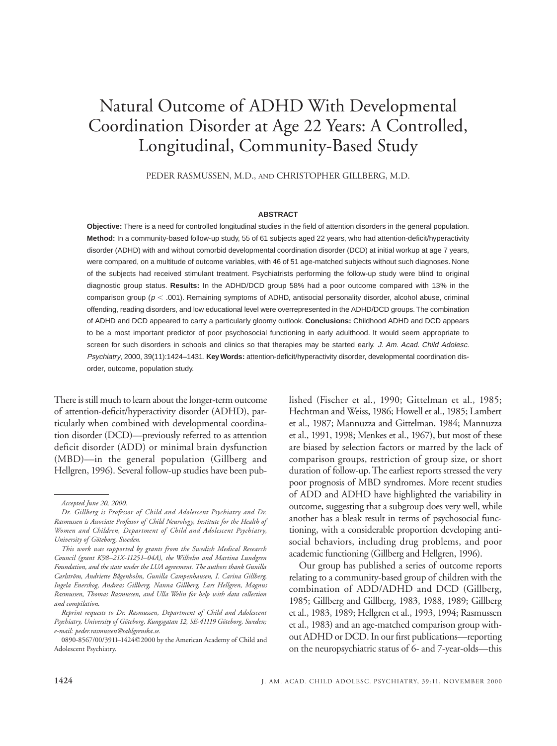# Natural Outcome of ADHD With Developmental Coordination Disorder at Age 22 Years: A Controlled, Longitudinal, Community-Based Study

PEDER RASMUSSEN, M.D., AND CHRISTOPHER GILLBERG, M.D.

## **ABSTRACT**

**Objective:** There is a need for controlled longitudinal studies in the field of attention disorders in the general population. **Method:** In a community-based follow-up study, 55 of 61 subjects aged 22 years, who had attention-deficit/hyperactivity disorder (ADHD) with and without comorbid developmental coordination disorder (DCD) at initial workup at age 7 years, were compared, on a multitude of outcome variables, with 46 of 51 age-matched subjects without such diagnoses. None of the subjects had received stimulant treatment. Psychiatrists performing the follow-up study were blind to original diagnostic group status. **Results:** In the ADHD/DCD group 58% had a poor outcome compared with 13% in the comparison group ( $p < .001$ ). Remaining symptoms of ADHD, antisocial personality disorder, alcohol abuse, criminal offending, reading disorders, and low educational level were overrepresented in the ADHD/DCD groups.The combination of ADHD and DCD appeared to carry a particularly gloomy outlook. **Conclusions:** Childhood ADHD and DCD appears to be a most important predictor of poor psychosocial functioning in early adulthood. It would seem appropriate to screen for such disorders in schools and clinics so that therapies may be started early. J. Am. Acad. Child Adolesc. Psychiatry, 2000, 39(11):1424–1431. **Key Words:** attention-deficit/hyperactivity disorder, developmental coordination disorder, outcome, population study.

There is still much to learn about the longer-term outcome of attention-deficit/hyperactivity disorder (ADHD), particularly when combined with developmental coordination disorder (DCD)—previously referred to as attention deficit disorder (ADD) or minimal brain dysfunction (MBD)—in the general population (Gillberg and Hellgren, 1996). Several follow-up studies have been published (Fischer et al., 1990; Gittelman et al., 1985; Hechtman and Weiss, 1986; Howell et al., 1985; Lambert et al., 1987; Mannuzza and Gittelman, 1984; Mannuzza et al., 1991, 1998; Menkes et al., 1967), but most of these are biased by selection factors or marred by the lack of comparison groups, restriction of group size, or short duration of follow-up. The earliest reports stressed the very poor prognosis of MBD syndromes. More recent studies of ADD and ADHD have highlighted the variability in outcome, suggesting that a subgroup does very well, while another has a bleak result in terms of psychosocial functioning, with a considerable proportion developing antisocial behaviors, including drug problems, and poor academic functioning (Gillberg and Hellgren, 1996).

Our group has published a series of outcome reports relating to a community-based group of children with the combination of ADD/ADHD and DCD (Gillberg, 1985; Gillberg and Gillberg, 1983, 1988, 1989; Gillberg et al., 1983, 1989; Hellgren et al., 1993, 1994; Rasmussen et al., 1983) and an age-matched comparison group without ADHD or DCD. In our first publications—reporting on the neuropsychiatric status of 6- and 7-year-olds—this

*Accepted June 20, 2000.*

*Dr. Gillberg is Professor of Child and Adolescent Psychiatry and Dr. Rasmussen is Associate Professor of Child Neurology, Institute for the Health of Women and Children, Department of Child and Adolescent Psychiatry, University of Göteborg, Sweden.*

*This work was supported by grants from the Swedish Medical Research Council (grant K98–21X-11251–04A), the Wilhelm and Martina Lundgren Foundation, and the state under the LUA agreement. The authors thank Gunilla Carlström, Andriette Bågenholm, Gunilla Campenhausen, I. Carina Gillberg, Ingela Enerskog, Andreas Gillberg, Nanna Gillberg, Lars Hellgren, Magnus Rasmussen, Thomas Rasmussen, and Ulla Welin for help with data collection and compilation.*

*Reprint requests to Dr. Rasmussen, Department of Child and Adolescent Psychiatry, University of Göteborg, Kungsgatan 12, SE-41119 Göteborg, Sweden; e-mail: peder.rasmussen@sahlgrenska.se.*

<sup>0890-8567/00/3911-1424©2000</sup> by the American Academy of Child and Adolescent Psychiatry.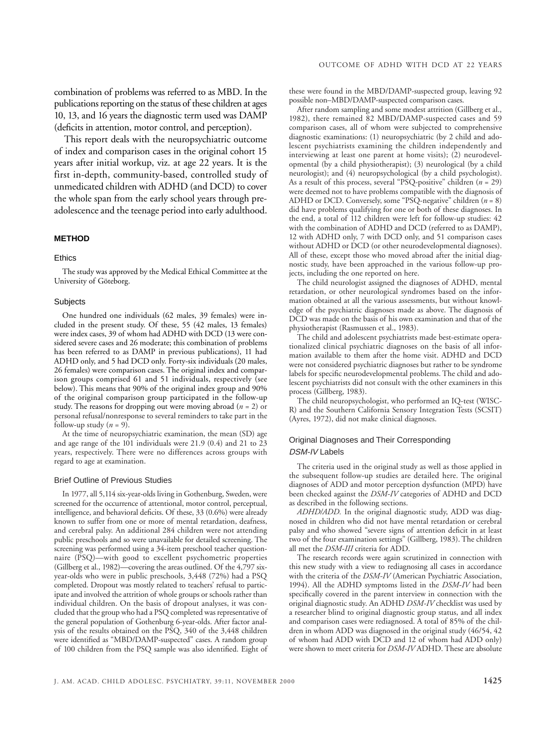combination of problems was referred to as MBD. In the publications reporting on the status of these children at ages 10, 13, and 16 years the diagnostic term used was DAMP (deficits in attention, motor control, and perception).

This report deals with the neuropsychiatric outcome of index and comparison cases in the original cohort 15 years after initial workup, viz. at age 22 years. It is the first in-depth, community-based, controlled study of unmedicated children with ADHD (and DCD) to cover the whole span from the early school years through preadolescence and the teenage period into early adulthood.

#### **METHOD**

#### **Ethics**

The study was approved by the Medical Ethical Committee at the University of Göteborg.

#### **Subjects**

One hundred one individuals (62 males, 39 females) were included in the present study. Of these, 55 (42 males, 13 females) were index cases, 39 of whom had ADHD with DCD (13 were considered severe cases and 26 moderate; this combination of problems has been referred to as DAMP in previous publications), 11 had ADHD only, and 5 had DCD only. Forty-six individuals (20 males, 26 females) were comparison cases. The original index and comparison groups comprised 61 and 51 individuals, respectively (see below). This means that 90% of the original index group and 90% of the original comparison group participated in the follow-up study. The reasons for dropping out were moving abroad (*n* = 2) or personal refusal/nonresponse to several reminders to take part in the follow-up study  $(n = 9)$ .

At the time of neuropsychiatric examination, the mean (SD) age and age range of the 101 individuals were 21.9 (0.4) and 21 to 23 years, respectively. There were no differences across groups with regard to age at examination.

#### Brief Outline of Previous Studies

In 1977, all 5,114 six-year-olds living in Gothenburg, Sweden, were screened for the occurrence of attentional, motor control, perceptual, intelligence, and behavioral deficits. Of these, 33 (0.6%) were already known to suffer from one or more of mental retardation, deafness, and cerebral palsy. An additional 284 children were not attending public preschools and so were unavailable for detailed screening. The screening was performed using a 34-item preschool teacher questionnaire (PSQ)—with good to excellent psychometric properties (Gillberg et al., 1982)—covering the areas outlined. Of the 4,797 sixyear-olds who were in public preschools, 3,448 (72%) had a PSQ completed. Dropout was mostly related to teachers' refusal to participate and involved the attrition of whole groups or schools rather than individual children. On the basis of dropout analyses, it was concluded that the group who had a PSQ completed was representative of the general population of Gothenburg 6-year-olds. After factor analysis of the results obtained on the PSQ, 340 of the 3,448 children were identified as "MBD/DAMP-suspected" cases. A random group of 100 children from the PSQ sample was also identified. Eight of

these were found in the MBD/DAMP-suspected group, leaving 92 possible non–MBD/DAMP-suspected comparison cases.

After random sampling and some modest attrition (Gillberg et al., 1982), there remained 82 MBD/DAMP-suspected cases and 59 comparison cases, all of whom were subjected to comprehensive diagnostic examinations: (1) neuropsychiatric (by 2 child and adolescent psychiatrists examining the children independently and interviewing at least one parent at home visits); (2) neurodevelopmental (by a child physiotherapist); (3) neurological (by a child neurologist); and (4) neuropsychological (by a child psychologist). As a result of this process, several "PSQ-positive" children (*n* = 29) were deemed not to have problems compatible with the diagnosis of ADHD or DCD. Conversely, some "PSQ-negative" children (*n* = 8) did have problems qualifying for one or both of these diagnoses. In the end, a total of 112 children were left for follow-up studies: 42 with the combination of ADHD and DCD (referred to as DAMP), 12 with ADHD only, 7 with DCD only, and 51 comparison cases without ADHD or DCD (or other neurodevelopmental diagnoses). All of these, except those who moved abroad after the initial diagnostic study, have been approached in the various follow-up projects, including the one reported on here.

The child neurologist assigned the diagnoses of ADHD, mental retardation, or other neurological syndromes based on the information obtained at all the various assessments, but without knowledge of the psychiatric diagnoses made as above. The diagnosis of DCD was made on the basis of his own examination and that of the physiotherapist (Rasmussen et al., 1983).

The child and adolescent psychiatrists made best-estimate operationalized clinical psychiatric diagnoses on the basis of all information available to them after the home visit. ADHD and DCD were not considered psychiatric diagnoses but rather to be syndrome labels for specific neurodevelopmental problems. The child and adolescent psychiatrists did not consult with the other examiners in this process (Gillberg, 1983).

The child neuropsychologist, who performed an IQ-test (WISC-R) and the Southern California Sensory Integration Tests (SCSIT) (Ayres, 1972), did not make clinical diagnoses.

## Original Diagnoses and Their Corresponding DSM-IV Labels

The criteria used in the original study as well as those applied in the subsequent follow-up studies are detailed here. The original diagnoses of ADD and motor perception dysfunction (MPD) have been checked against the *DSM-IV* categories of ADHD and DCD as described in the following sections.

*ADHD/ADD.* In the original diagnostic study, ADD was diagnosed in children who did not have mental retardation or cerebral palsy and who showed "severe signs of attention deficit in at least two of the four examination settings" (Gillberg, 1983). The children all met the *DSM-III* criteria for ADD.

The research records were again scrutinized in connection with this new study with a view to rediagnosing all cases in accordance with the criteria of the *DSM-IV* (American Psychiatric Association, 1994). All the ADHD symptoms listed in the *DSM-IV* had been specifically covered in the parent interview in connection with the original diagnostic study. An ADHD *DSM-IV* checklist was used by a researcher blind to original diagnostic group status, and all index and comparison cases were rediagnosed. A total of 85% of the children in whom ADD was diagnosed in the original study (46/54, 42 of whom had ADD with DCD and 12 of whom had ADD only) were shown to meet criteria for *DSM-IV* ADHD. These are absolute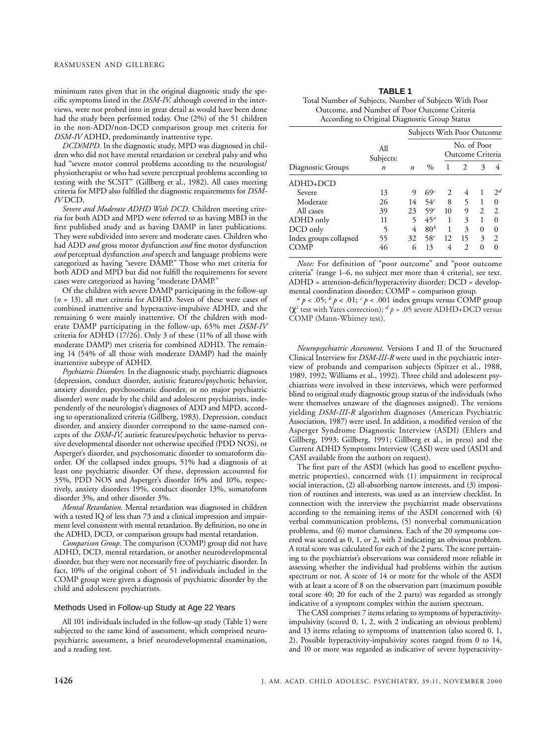minimum rates given that in the original diagnostic study the specific symptoms listed in the *DSM-IV,* although covered in the interviews, were not probed into in great detail as would have been done had the study been performed today. One (2%) of the 51 children in the non-ADD/non-DCD comparison group met criteria for *DSM-IV* ADHD, predominantly inattentive type.

*DCD/MPD.* In the diagnostic study, MPD was diagnosed in children who did not have mental retardation or cerebral palsy and who had "severe motor control problems according to the neurologist/ physiotherapist or who had severe perceptual problems according to testing with the SCSIT" (Gillberg et al., 1982). All cases meeting criteria for MPD also fulfilled the diagnostic requirements for *DSM-IV* DCD.

*Severe and Moderate ADHD With DCD.* Children meeting criteria for both ADD and MPD were referred to as having MBD in the first published study and as having DAMP in later publications. They were subdivided into severe and moderate cases. Children who had ADD *and* gross motor dysfunction *and* fine motor dysfunction *and* perceptual dysfunction *and* speech and language problems were categorized as having "severe DAMP." Those who met criteria for both ADD and MPD but did not fulfill the requirements for severe cases were categorized as having "moderate DAMP."

Of the children with severe DAMP participating in the follow-up (*n* = 13), all met criteria for ADHD. Seven of these were cases of combined inattentive and hyperactive-impulsive ADHD, and the remaining 6 were mainly inattentive. Of the children with moderate DAMP participating in the follow-up, 65% met *DSM-IV* criteria for ADHD (17/26). Only 3 of these (11% of all those with moderate DAMP) met criteria for combined ADHD. The remaining 14 (54% of all those with moderate DAMP) had the mainly inattentive subtype of ADHD.

*Psychiatric Disorders.* In the diagnostic study, psychiatric diagnoses (depression, conduct disorder, autistic features/psychotic behavior, anxiety disorder, psychosomatic disorder, or no major psychiatric disorder) were made by the child and adolescent psychiatrists, independently of the neurologist's diagnoses of ADD and MPD, according to operationalized criteria (Gillberg, 1983). Depression, conduct disorder, and anxiety disorder correspond to the same-named concepts of the *DSM-IV,* autistic features/psychotic behavior to pervasive developmental disorder not otherwise specified (PDD NOS), or Asperger's disorder, and psychosomatic disorder to somatoform disorder. Of the collapsed index groups, 51% had a diagnosis of at least one psychiatric disorder. Of these, depression accounted for 35%, PDD NOS and Asperger's disorder 16% and 10%, respectively, anxiety disorders 19%, conduct disorder 13%, somatoform disorder 3%, and other disorder 3%.

*Mental Retardation.* Mental retardation was diagnosed in children with a tested IQ of less than 73 and a clinical impression and impairment level consistent with mental retardation. By definition, no one in the ADHD, DCD, or comparison groups had mental retardation.

*Comparison Group.* The comparison (COMP) group did not have ADHD, DCD, mental retardation, or another neurodevelopmental disorder, but they were not necessarily free of psychiatric disorder. In fact, 10% of the original cohort of 51 individuals included in the COMP group were given a diagnosis of psychiatric disorder by the child and adolescent psychiatrists.

#### Methods Used in Follow-up Study at Age 22 Years

All 101 individuals included in the follow-up study (Table 1) were subjected to the same kind of assessment, which comprised neuropsychiatric assessment, a brief neurodevelopmental examination, and a reading test.

| с<br>œ |
|--------|
|--------|

| Total Number of Subjects, Number of Subjects With Poor |
|--------------------------------------------------------|
| Outcome, and Number of Poor Outcome Criteria           |
| According to Original Diagnostic Group Status          |

|                        |                  |                  | <b>Subjects With Poor Outcome</b> |                                 |               |                |                 |  |
|------------------------|------------------|------------------|-----------------------------------|---------------------------------|---------------|----------------|-----------------|--|
|                        | All<br>Subjects: |                  |                                   | No. of Poor<br>Outcome Criteria |               |                |                 |  |
| Diagnostic Groups      | $\boldsymbol{n}$ | $\boldsymbol{n}$ | $\%$                              | 1                               | 2             | 3              | 4               |  |
| $ADHD+DCD$             |                  |                  |                                   |                                 |               |                |                 |  |
| Severe                 | 13               | 9                | 69 <sup>c</sup>                   | 2                               | 4             | 1              | $\mathcal{D}^d$ |  |
| Moderate               | 26               | 14               | 54 <sup>c</sup>                   | 8                               | 5             | 1              | 0               |  |
| All cases              | 39               | 23               | 59 <sup>c</sup>                   | 10                              | 9             | $\overline{c}$ | $\mathfrak{D}$  |  |
| ADHD only              | 11               | 5                | 45 <sup>a</sup>                   | 1                               | 3             |                | 0               |  |
| DCD only               | 5                | 4                | 80 <sup>b</sup>                   | 1                               | 3             | 0              | 0               |  |
| Index groups collapsed | 55               | 32               | 58 <sup>c</sup>                   | 12                              | 15            | 3              | $\mathfrak{D}$  |  |
|                        | 46               | 6                | 13                                | 4                               | $\mathcal{D}$ | 0              | 0               |  |

*Note:* For definition of "poor outcome" and "poor outcome criteria" (range 1–6, no subject met more than 4 criteria), see text. ADHD = attention-deficit/hyperactivity disorder; DCD = develop-

 $\alpha^a p < .05; \,^b p < .01; \,^c p < .001$  index groups versus COMP group ( $χ²$  test with Yates correction);  $d$  *p* = .05 severe ADHD+DCD versus COMP (Mann-Whitney test).

*Neuropsychiatric Assessment.* Versions I and II of the Structured Clinical Interview for *DSM-III-R* were used in the psychiatric interview of probands and comparison subjects (Spitzer et al., 1988, 1989, 1992; Williams et al., 1992). Three child and adolescent psychiatrists were involved in these interviews, which were performed blind to original study diagnostic group status of the individuals (who were themselves unaware of the diagnoses assigned). The versions yielding *DSM-III-R* algorithm diagnoses (American Psychiatric Association, 1987) were used. In addition, a modified version of the Asperger Syndrome Diagnostic Interview (ASDI) (Ehlers and Gillberg, 1993; Gillberg, 1991; Gillberg et al., in press) and the Current ADHD Symptoms Interview (CASI) were used (ASDI and CASI available from the authors on request).

The first part of the ASDI (which has good to excellent psychometric properties), concerned with (1) impairment in reciprocal social interaction, (2) all-absorbing narrow interests, and (3) imposition of routines and interests, was used as an interview checklist. In connection with the interview the psychiatrist made observations according to the remaining items of the ASDI concerned with (4) verbal communication problems, (5) nonverbal communication problems, and (6) motor clumsiness. Each of the 20 symptoms covered was scored as 0, 1, or 2, with 2 indicating an obvious problem. A total score was calculated for each of the 2 parts. The score pertaining to the psychiatrist's observations was considered more reliable in assessing whether the individual had problems within the autism spectrum or not. A score of 14 or more for the whole of the ASDI with at least a score of 8 on the observation part (maximum possible total score 40; 20 for each of the 2 parts) was regarded as strongly indicative of a symptom complex within the autism spectrum.

The CASI comprises 7 items relating to symptoms of hyperactivityimpulsivity (scored 0, 1, 2, with 2 indicating an obvious problem) and 13 items relating to symptoms of inattention (also scored 0, 1, 2). Possible hyperactivity-impulsivity scores ranged from 0 to 14, and 10 or more was regarded as indicative of severe hyperactivity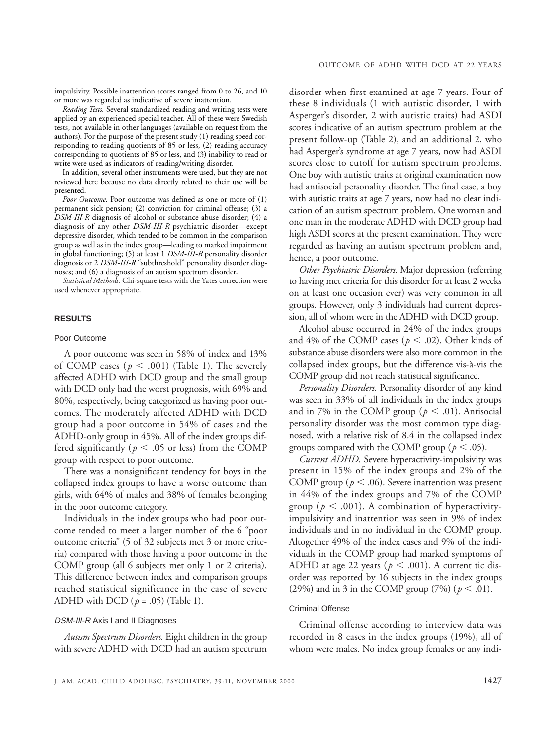impulsivity. Possible inattention scores ranged from 0 to 26, and 10 or more was regarded as indicative of severe inattention.

*Reading Tests.* Several standardized reading and writing tests were applied by an experienced special teacher. All of these were Swedish tests, not available in other languages (available on request from the authors). For the purpose of the present study (1) reading speed corresponding to reading quotients of 85 or less, (2) reading accuracy corresponding to quotients of 85 or less, and (3) inability to read or write were used as indicators of reading/writing disorder.

In addition, several other instruments were used, but they are not reviewed here because no data directly related to their use will be presented.

*Poor Outcome.* Poor outcome was defined as one or more of (1) permanent sick pension; (2) conviction for criminal offense; (3) a *DSM-III-R* diagnosis of alcohol or substance abuse disorder; (4) a diagnosis of any other *DSM-III-R* psychiatric disorder—except depressive disorder, which tended to be common in the comparison group as well as in the index group—leading to marked impairment in global functioning; (5) at least 1 *DSM-III-R* personality disorder diagnosis or 2 *DSM-III-R* "subthreshold" personality disorder diagnoses; and (6) a diagnosis of an autism spectrum disorder**.**

*Statistical Methods.* Chi-square tests with the Yates correction were used whenever appropriate.

## **RESULTS**

#### Poor Outcome

A poor outcome was seen in 58% of index and 13% of COMP cases ( $p < .001$ ) (Table 1). The severely affected ADHD with DCD group and the small group with DCD only had the worst prognosis, with 69% and 80%, respectively, being categorized as having poor outcomes. The moderately affected ADHD with DCD group had a poor outcome in 54% of cases and the ADHD-only group in 45%. All of the index groups differed significantly ( $p < .05$  or less) from the COMP group with respect to poor outcome.

There was a nonsignificant tendency for boys in the collapsed index groups to have a worse outcome than girls, with 64% of males and 38% of females belonging in the poor outcome category.

Individuals in the index groups who had poor outcome tended to meet a larger number of the 6 "poor outcome criteria" (5 of 32 subjects met 3 or more criteria) compared with those having a poor outcome in the COMP group (all 6 subjects met only 1 or 2 criteria). This difference between index and comparison groups reached statistical significance in the case of severe ADHD with DCD (*p* = .05) (Table 1).

#### DSM-III-R Axis I and II Diagnoses

*Autism Spectrum Disorders.* Eight children in the group with severe ADHD with DCD had an autism spectrum

disorder when first examined at age 7 years. Four of these 8 individuals (1 with autistic disorder, 1 with Asperger's disorder, 2 with autistic traits) had ASDI scores indicative of an autism spectrum problem at the present follow-up (Table 2), and an additional 2, who had Asperger's syndrome at age 7 years, now had ASDI scores close to cutoff for autism spectrum problems. One boy with autistic traits at original examination now had antisocial personality disorder. The final case, a boy with autistic traits at age 7 years, now had no clear indication of an autism spectrum problem. One woman and one man in the moderate ADHD with DCD group had high ASDI scores at the present examination. They were regarded as having an autism spectrum problem and, hence, a poor outcome.

*Other Psychiatric Disorders.* Major depression (referring to having met criteria for this disorder for at least 2 weeks on at least one occasion ever) was very common in all groups. However, only 3 individuals had current depression, all of whom were in the ADHD with DCD group.

Alcohol abuse occurred in 24% of the index groups and 4% of the COMP cases ( $p < .02$ ). Other kinds of substance abuse disorders were also more common in the collapsed index groups, but the difference vis-à-vis the COMP group did not reach statistical significance.

*Personality Disorders.* Personality disorder of any kind was seen in 33% of all individuals in the index groups and in 7% in the COMP group ( $p < .01$ ). Antisocial personality disorder was the most common type diagnosed, with a relative risk of 8.4 in the collapsed index groups compared with the COMP group ( $p < .05$ ).

*Current ADHD.* Severe hyperactivity-impulsivity was present in 15% of the index groups and 2% of the COMP group ( $p < .06$ ). Severe inattention was present in 44% of the index groups and 7% of the COMP group ( $p < .001$ ). A combination of hyperactivityimpulsivity and inattention was seen in 9% of index individuals and in no individual in the COMP group. Altogether 49% of the index cases and 9% of the individuals in the COMP group had marked symptoms of ADHD at age 22 years ( $p < .001$ ). A current tic disorder was reported by 16 subjects in the index groups (29%) and in 3 in the COMP group (7%) ( $p < .01$ ).

## Criminal Offense

Criminal offense according to interview data was recorded in 8 cases in the index groups (19%), all of whom were males. No index group females or any indi-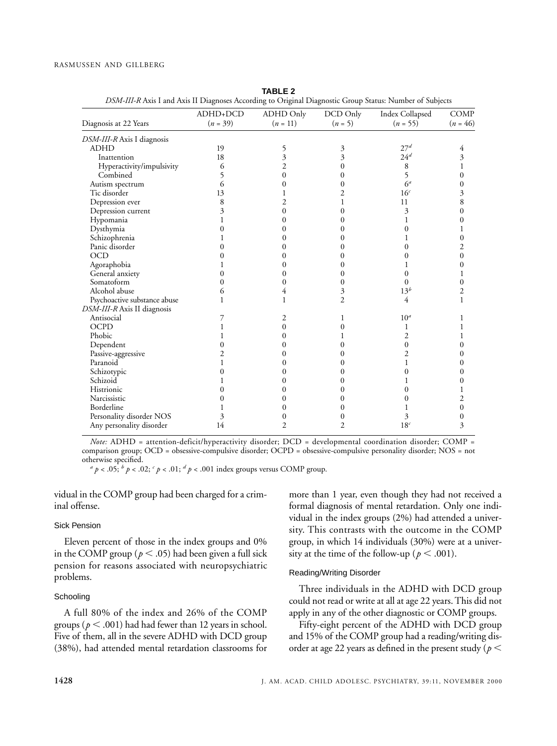|                              | ADHD+DCD   | ADHD Only      | DCD Only       | Index Collapsed | <b>COMP</b>             |
|------------------------------|------------|----------------|----------------|-----------------|-------------------------|
| Diagnosis at 22 Years        | $(n = 39)$ | $(n = 11)$     | $(n = 5)$      | $(n = 55)$      | $(n = 46)$              |
| DSM-III-R Axis I diagnosis   |            |                |                |                 |                         |
| <b>ADHD</b>                  | 19         | 5              | 3              | 27 <sup>d</sup> | 4                       |
| Inattention                  | 18         | 3              | 3              | 24 <sup>d</sup> | 3                       |
| Hyperactivity/impulsivity    | 6          | 2              | 0              | 8               | 1                       |
| Combined                     | 5          | 0              | 0              | 5               | 0                       |
| Autism spectrum              | 6          | 0              | 0              | 6 <sup>a</sup>  | 0                       |
| Tic disorder                 | 13         |                | 2              | 16 <sup>c</sup> | 3                       |
| Depression ever              | 8          | 2              |                | 11              | 8                       |
| Depression current           | 3          | 0              | 0              | 3               | $\overline{0}$          |
| Hypomania                    | 1          | 0              | 0              |                 | 0                       |
| Dysthymia                    | 0          | 0              | 0              | 0               |                         |
| Schizophrenia                |            | 0              | 0              |                 | 0                       |
| Panic disorder               | 0          | 0              | 0              | 0               | $\overline{c}$          |
| <b>OCD</b>                   | 0          | 0              | 0              | 0               | 0                       |
| Agoraphobia                  |            | 0              | $_{0}$         |                 | 0                       |
| General anxiety              | 0          | 0              | 0              | 0               |                         |
| Somatoform                   | 0          | 0              | 0              | 0               | 0                       |
| Alcohol abuse                | 6          | 4              | 3              | 13 <sup>b</sup> | $\overline{\mathbf{c}}$ |
| Psychoactive substance abuse | 1          | 1              | $\overline{2}$ | 4               | 1                       |
| DSM-III-R Axis II diagnosis  |            |                |                |                 |                         |
| Antisocial                   |            | 2              | 1              | 10 <sup>a</sup> |                         |
| OCPD                         |            | 0              | 0              | 1               |                         |
| Phobic                       |            | $\theta$       |                | 2               | 1                       |
| Dependent                    | 0          | 0              | 0              | $\mathbf{0}$    | 0                       |
| Passive-aggressive           | 2          | 0              | $\mathbf{0}$   | $\overline{2}$  | 0                       |
| Paranoid                     | 1          | 0              | $_{0}$         | 1               | 0                       |
| Schizotypic                  | 0          | 0              | $\theta$       | $\Omega$        | 0                       |
| Schizoid                     |            | 0              | $_{0}$         |                 | 0                       |
| Histrionic                   | 0          | 0              | $_{0}$         | 0               |                         |
| Narcissistic                 | 0          | 0              | 0              | 0               | $\overline{2}$          |
| Borderline                   |            | 0              |                |                 | 0                       |
| Personality disorder NOS     | 3          | 0              |                |                 | 0                       |
| Any personality disorder     | 14         | $\overline{2}$ | $\overline{2}$ | 18 <sup>c</sup> | 3                       |

**TABLE 2** *DSM-III-R* Axis I and Axis II Diagnoses According to Original Diagnostic Group Status: Number of Subjects

*Note:* ADHD = attention-deficit/hyperactivity disorder; DCD = developmental coordination disorder; COMP = comparison group; OCD = obsessive-compulsive disorder; OCPD = obsessive-compulsive personality disorder; NOS = not

 $a^a p < .05$ ;  $b^b p < .02$ ;  $c^c p < .01$ ;  $d^d p < .001$  index groups versus COMP group.

vidual in the COMP group had been charged for a criminal offense.

#### Sick Pension

Eleven percent of those in the index groups and 0% in the COMP group ( $p < .05$ ) had been given a full sick pension for reasons associated with neuropsychiatric problems.

# **Schooling**

A full 80% of the index and 26% of the COMP groups ( $p < .001$ ) had had fewer than 12 years in school. Five of them, all in the severe ADHD with DCD group (38%), had attended mental retardation classrooms for more than 1 year, even though they had not received a formal diagnosis of mental retardation. Only one individual in the index groups (2%) had attended a university. This contrasts with the outcome in the COMP group, in which 14 individuals (30%) were at a university at the time of the follow-up ( $p < .001$ ).

## Reading/Writing Disorder

Three individuals in the ADHD with DCD group could not read or write at all at age 22 years. This did not apply in any of the other diagnostic or COMP groups.

Fifty-eight percent of the ADHD with DCD group and 15% of the COMP group had a reading/writing disorder at age 22 years as defined in the present study ( $p <$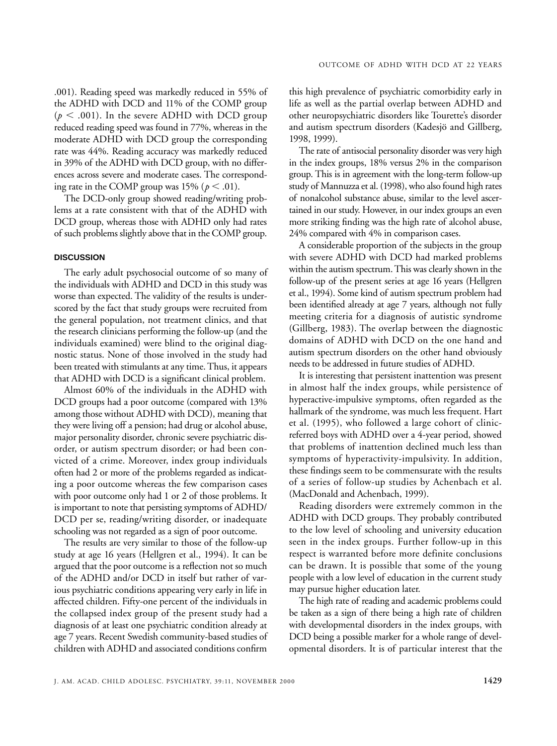.001). Reading speed was markedly reduced in 55% of the ADHD with DCD and 11% of the COMP group  $(p < .001)$ . In the severe ADHD with DCD group reduced reading speed was found in 77%, whereas in the moderate ADHD with DCD group the corresponding rate was 44%. Reading accuracy was markedly reduced in 39% of the ADHD with DCD group, with no differences across severe and moderate cases. The corresponding rate in the COMP group was  $15\%$  ( $p < .01$ ).

The DCD-only group showed reading/writing problems at a rate consistent with that of the ADHD with DCD group, whereas those with ADHD only had rates of such problems slightly above that in the COMP group.

# **DISCUSSION**

The early adult psychosocial outcome of so many of the individuals with ADHD and DCD in this study was worse than expected. The validity of the results is underscored by the fact that study groups were recruited from the general population, not treatment clinics, and that the research clinicians performing the follow-up (and the individuals examined) were blind to the original diagnostic status. None of those involved in the study had been treated with stimulants at any time. Thus, it appears that ADHD with DCD is a significant clinical problem.

Almost 60% of the individuals in the ADHD with DCD groups had a poor outcome (compared with 13% among those without ADHD with DCD), meaning that they were living off a pension; had drug or alcohol abuse, major personality disorder, chronic severe psychiatric disorder, or autism spectrum disorder; or had been convicted of a crime. Moreover, index group individuals often had 2 or more of the problems regarded as indicating a poor outcome whereas the few comparison cases with poor outcome only had 1 or 2 of those problems. It is important to note that persisting symptoms of ADHD/ DCD per se, reading/writing disorder, or inadequate schooling was not regarded as a sign of poor outcome.

The results are very similar to those of the follow-up study at age 16 years (Hellgren et al., 1994). It can be argued that the poor outcome is a reflection not so much of the ADHD and/or DCD in itself but rather of various psychiatric conditions appearing very early in life in affected children. Fifty-one percent of the individuals in the collapsed index group of the present study had a diagnosis of at least one psychiatric condition already at age 7 years. Recent Swedish community-based studies of children with ADHD and associated conditions confirm

this high prevalence of psychiatric comorbidity early in life as well as the partial overlap between ADHD and other neuropsychiatric disorders like Tourette's disorder and autism spectrum disorders (Kadesjö and Gillberg, 1998, 1999).

The rate of antisocial personality disorder was very high in the index groups, 18% versus 2% in the comparison group. This is in agreement with the long-term follow-up study of Mannuzza et al. (1998), who also found high rates of nonalcohol substance abuse, similar to the level ascertained in our study. However, in our index groups an even more striking finding was the high rate of alcohol abuse, 24% compared with 4% in comparison cases.

A considerable proportion of the subjects in the group with severe ADHD with DCD had marked problems within the autism spectrum. This was clearly shown in the follow-up of the present series at age 16 years (Hellgren et al., 1994). Some kind of autism spectrum problem had been identified already at age 7 years, although not fully meeting criteria for a diagnosis of autistic syndrome (Gillberg, 1983). The overlap between the diagnostic domains of ADHD with DCD on the one hand and autism spectrum disorders on the other hand obviously needs to be addressed in future studies of ADHD.

It is interesting that persistent inattention was present in almost half the index groups, while persistence of hyperactive-impulsive symptoms, often regarded as the hallmark of the syndrome, was much less frequent. Hart et al. (1995), who followed a large cohort of clinicreferred boys with ADHD over a 4-year period, showed that problems of inattention declined much less than symptoms of hyperactivity-impulsivity. In addition, these findings seem to be commensurate with the results of a series of follow-up studies by Achenbach et al. (MacDonald and Achenbach, 1999).

Reading disorders were extremely common in the ADHD with DCD groups. They probably contributed to the low level of schooling and university education seen in the index groups. Further follow-up in this respect is warranted before more definite conclusions can be drawn. It is possible that some of the young people with a low level of education in the current study may pursue higher education later.

The high rate of reading and academic problems could be taken as a sign of there being a high rate of children with developmental disorders in the index groups, with DCD being a possible marker for a whole range of developmental disorders. It is of particular interest that the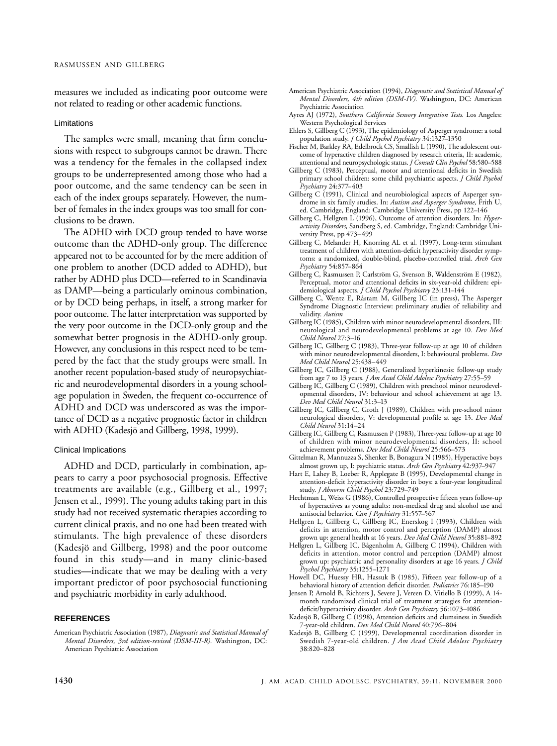measures we included as indicating poor outcome were not related to reading or other academic functions.

#### Limitations

The samples were small, meaning that firm conclusions with respect to subgroups cannot be drawn. There was a tendency for the females in the collapsed index groups to be underrepresented among those who had a poor outcome, and the same tendency can be seen in each of the index groups separately. However, the number of females in the index groups was too small for conclusions to be drawn.

The ADHD with DCD group tended to have worse outcome than the ADHD-only group. The difference appeared not to be accounted for by the mere addition of one problem to another (DCD added to ADHD), but rather by ADHD plus DCD—referred to in Scandinavia as DAMP—being a particularly ominous combination, or by DCD being perhaps, in itself, a strong marker for poor outcome. The latter interpretation was supported by the very poor outcome in the DCD-only group and the somewhat better prognosis in the ADHD-only group. However, any conclusions in this respect need to be tempered by the fact that the study groups were small. In another recent population-based study of neuropsychiatric and neurodevelopmental disorders in a young schoolage population in Sweden, the frequent co-occurrence of ADHD and DCD was underscored as was the importance of DCD as a negative prognostic factor in children with ADHD (Kadesjö and Gillberg, 1998, 1999).

## Clinical Implications

ADHD and DCD, particularly in combination, appears to carry a poor psychosocial prognosis. Effective treatments are available (e.g., Gillberg et al., 1997; Jensen et al., 1999). The young adults taking part in this study had not received systematic therapies according to current clinical praxis, and no one had been treated with stimulants. The high prevalence of these disorders (Kadesjö and Gillberg, 1998) and the poor outcome found in this study—and in many clinic-based studies**—**indicate that we may be dealing with a very important predictor of poor psychosocial functioning and psychiatric morbidity in early adulthood.

#### **REFERENCES**

- American Psychiatric Association (1994), *Diagnostic and Statistical Manual of Mental Disorders, 4th edition (DSM-IV).* Washington, DC: American Psychiatric Association
- Ayres AJ (1972), *Southern California Sensory Integration Tests.* Los Angeles: Western Psychological Services
- Ehlers S, Gillberg C (1993), The epidemiology of Asperger syndrome: a total population study. *J Child Psychol Psychiatry* 34:1327–1350
- Fischer M, Barkley RA, Edelbrock CS, Smallish L (1990), The adolescent outcome of hyperactive children diagnosed by research criteria, II: academic, attentional and neuropsychologic status. *J Consult Clin Psychol* 58:580–588
- Gillberg C (1983), Perceptual, motor and attentional deficits in Swedish primary school children: some child psychiatric aspects. *J Child Psychol Psychiatry* 24:377–403
- Gillberg C (1991), Clinical and neurobiological aspects of Asperger syndrome in six family studies. In: *Autism and Asperger Syndrome,* Frith U, ed. Cambridge, England: Cambridge University Press, pp 122–146
- Gillberg C, Hellgren L (1996), Outcome of attention disorders. In: *Hyperactivity Disorders,* Sandberg S, ed. Cambridge, England: Cambridge University Press, pp 473–499
- Gillberg C, Melander H, Knorring AL et al. (1997), Long-term stimulant treatment of children with attention-deficit hyperactivity disorder symptoms: a randomized, double-blind, placebo-controlled trial. *Arch Gen Psychiatry* 54:857–864
- Gillberg C, Rasmussen P, Carlström G, Svenson B, Waldenström E (1982), Perceptual, motor and attentional deficits in six-year-old children: epidemiological aspects. *J Child Psychol Psychiatry* 23:131–144
- Gillberg C, Wentz E, Råstam M, Gillberg IC (in press), The Asperger Syndrome Diagnostic Interview: preliminary studies of reliability and validity. *Autism*
- Gillberg IC (1985), Children with minor neurodevelopmental disorders, III: neurological and neurodevelopmental problems at age 10. *Dev Med Child Neurol* 27:3–16
- Gillberg IC, Gillberg C (1983), Three-year follow-up at age 10 of children with minor neurodevelopmental disorders, I: behavioural problems. *Dev Med Child Neurol* 25:438–449
- Gillberg IC, Gillberg C (1988), Generalized hyperkinesis: follow-up study from age 7 to 13 years. *J Am Acad Child Adolesc Psychiatry* 27:55–59
- Gillberg IC, Gillberg C (1989), Children with preschool minor neurodevelopmental disorders, IV: behaviour and school achievement at age 13. *Dev Med Child Neurol* 31:3–13
- Gillberg IC, Gillberg C, Groth J (1989), Children with pre-school minor neurological disorders, V: developmental profile at age 13. *Dev Med Child Neurol* 31:14–24
- Gillberg IC, Gillberg C, Rasmussen P (1983), Three-year follow-up at age 10 of children with minor neurodevelopmental disorders, II: school achievement problems. *Dev Med Child Neurol* 25:566–573
- Gittelman R, Mannuzza S, Shenker B, Bonagura N (1985), Hyperactive boys almost grown up, I: psychiatric status. *Arch Gen Psychiatry* 42:937–947
- Hart E, Lahey B, Loeber R, Applegate B (1995), Developmental change in attention-deficit hyperactivity disorder in boys: a four-year longitudinal study. *J Abnorm Child Psychol* 23:729–749
- Hechtman L, Weiss G (1986), Controlled prospective fifteen years follow-up of hyperactives as young adults: non-medical drug and alcohol use and antisocial behavior. *Can J Psychiatry* 31:557–567
- Hellgren L, Gillberg C, Gillberg IC, Enerskog I (1993), Children with deficits in attention, motor control and perception (DAMP) almost grown up: general health at 16 years. *Dev Med Child Neurol* 35:881–892
- Hellgren L, Gillberg IC, Bågenholm A, Gillberg C (1994), Children with deficits in attention, motor control and perception (DAMP) almost grown up: psychiatric and personality disorders at age 16 years. *J Child Psychol Psychiatry* 35:1255–1271
- Howell DC, Huessy HR, Hassuk B (1985), Fifteen year follow-up of a behavioral history of attention deficit disorder. *Pediatrics* 76:185–190
- Jensen P, Arnold B, Richters J, Severe J, Vereen D, Vitiello B (1999), A 14 month randomized clinical trial of treatment strategies for attentiondeficit/hyperactivity disorder. *Arch Gen Psychiatry* 56:1073–1086
- Kadesjö B, Gillberg C (1998), Attention deficits and clumsiness in Swedish 7-year-old children. *Dev Med Child Neurol* 40:796–804
- Kadesjö B, Gillberg C (1999), Developmental coordination disorder in Swedish 7-year-old children. *J Am Acad Child Adolesc Psychiatry* 38:820–828

American Psychiatric Association (1987), *Diagnostic and Statistical Manual of Mental Disorders, 3rd edition-revised (DSM-III-R).* Washington, DC: American Psychiatric Association